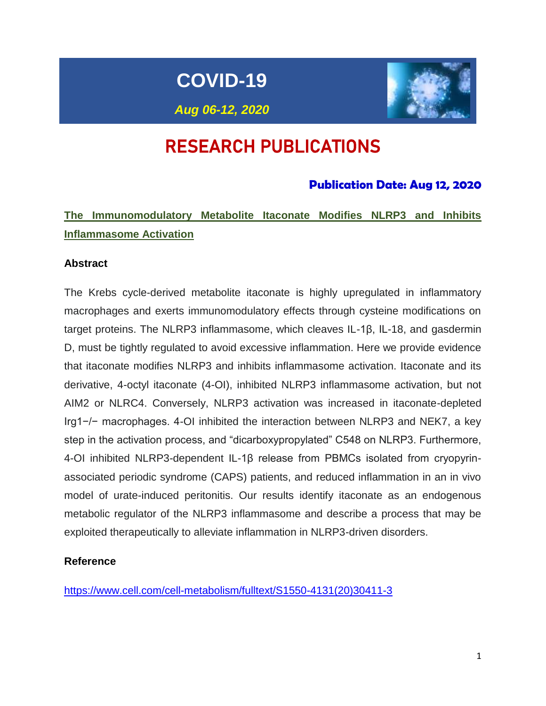# **COVID-19**



*Aug 06-12, 2020*

# RESEARCH PUBLICATIONS

## **Publication Date: Aug 12, 2020**

# **The Immunomodulatory Metabolite Itaconate Modifies NLRP3 and Inhibits Inflammasome Activation**

#### **Abstract**

The Krebs cycle-derived metabolite itaconate is highly upregulated in inflammatory macrophages and exerts immunomodulatory effects through cysteine modifications on target proteins. The NLRP3 inflammasome, which cleaves IL-1β, IL-18, and gasdermin D, must be tightly regulated to avoid excessive inflammation. Here we provide evidence that itaconate modifies NLRP3 and inhibits inflammasome activation. Itaconate and its derivative, 4-octyl itaconate (4-OI), inhibited NLRP3 inflammasome activation, but not AIM2 or NLRC4. Conversely, NLRP3 activation was increased in itaconate-depleted Irg1−/− macrophages. 4-OI inhibited the interaction between NLRP3 and NEK7, a key step in the activation process, and "dicarboxypropylated" C548 on NLRP3. Furthermore, 4-OI inhibited NLRP3-dependent IL-1β release from PBMCs isolated from cryopyrinassociated periodic syndrome (CAPS) patients, and reduced inflammation in an in vivo model of urate-induced peritonitis. Our results identify itaconate as an endogenous metabolic regulator of the NLRP3 inflammasome and describe a process that may be exploited therapeutically to alleviate inflammation in NLRP3-driven disorders.

#### **Reference**

[https://www.cell.com/cell-metabolism/fulltext/S1550-4131\(20\)30411-3](https://www.cell.com/cell-metabolism/fulltext/S1550-4131(20)30411-3)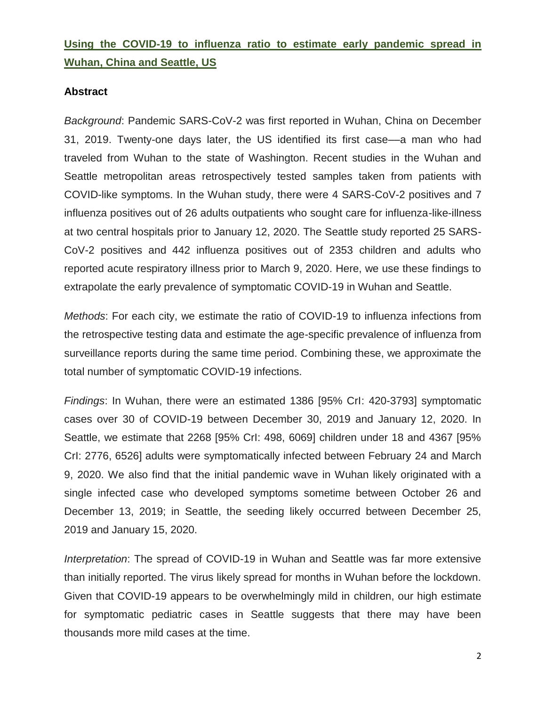## **Using the COVID-19 to influenza ratio to estimate early pandemic spread in Wuhan, China and Seattle, US**

### **Abstract**

*Background*: Pandemic SARS-CoV-2 was first reported in Wuhan, China on December 31, 2019. Twenty-one days later, the US identified its first case––a man who had traveled from Wuhan to the state of Washington. Recent studies in the Wuhan and Seattle metropolitan areas retrospectively tested samples taken from patients with COVID-like symptoms. In the Wuhan study, there were 4 SARS-CoV-2 positives and 7 influenza positives out of 26 adults outpatients who sought care for influenza-like-illness at two central hospitals prior to January 12, 2020. The Seattle study reported 25 SARS-CoV-2 positives and 442 influenza positives out of 2353 children and adults who reported acute respiratory illness prior to March 9, 2020. Here, we use these findings to extrapolate the early prevalence of symptomatic COVID-19 in Wuhan and Seattle.

*Methods*: For each city, we estimate the ratio of COVID-19 to influenza infections from the retrospective testing data and estimate the age-specific prevalence of influenza from surveillance reports during the same time period. Combining these, we approximate the total number of symptomatic COVID-19 infections.

*Findings*: In Wuhan, there were an estimated 1386 [95% CrI: 420-3793] symptomatic cases over 30 of COVID-19 between December 30, 2019 and January 12, 2020. In Seattle, we estimate that 2268 [95% CrI: 498, 6069] children under 18 and 4367 [95% CrI: 2776, 6526] adults were symptomatically infected between February 24 and March 9, 2020. We also find that the initial pandemic wave in Wuhan likely originated with a single infected case who developed symptoms sometime between October 26 and December 13, 2019; in Seattle, the seeding likely occurred between December 25, 2019 and January 15, 2020.

*Interpretation*: The spread of COVID-19 in Wuhan and Seattle was far more extensive than initially reported. The virus likely spread for months in Wuhan before the lockdown. Given that COVID-19 appears to be overwhelmingly mild in children, our high estimate for symptomatic pediatric cases in Seattle suggests that there may have been thousands more mild cases at the time.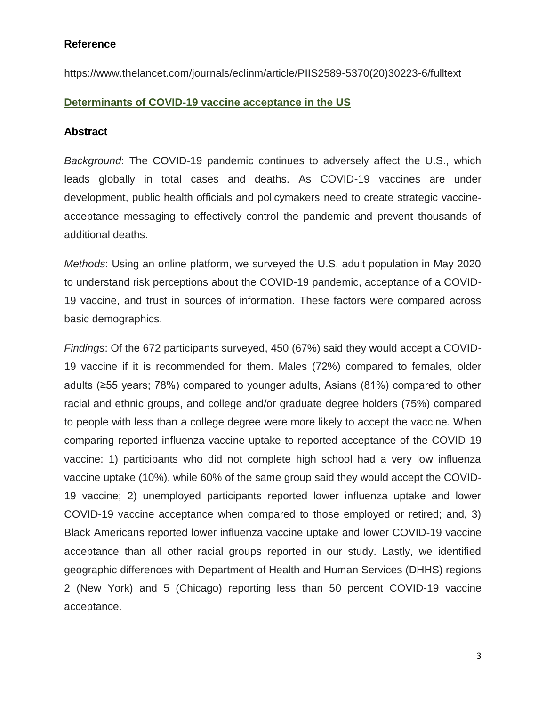#### **Reference**

https://www.thelancet.com/journals/eclinm/article/PIIS2589-5370(20)30223-6/fulltext

### **Determinants of COVID-19 vaccine acceptance in the US**

#### **Abstract**

*Background*: The COVID-19 pandemic continues to adversely affect the U.S., which leads globally in total cases and deaths. As COVID-19 vaccines are under development, public health officials and policymakers need to create strategic vaccineacceptance messaging to effectively control the pandemic and prevent thousands of additional deaths.

*Methods*: Using an online platform, we surveyed the U.S. adult population in May 2020 to understand risk perceptions about the COVID-19 pandemic, acceptance of a COVID-19 vaccine, and trust in sources of information. These factors were compared across basic demographics.

*Findings*: Of the 672 participants surveyed, 450 (67%) said they would accept a COVID-19 vaccine if it is recommended for them. Males (72%) compared to females, older adults (≥55 years; 78%) compared to younger adults, Asians (81%) compared to other racial and ethnic groups, and college and/or graduate degree holders (75%) compared to people with less than a college degree were more likely to accept the vaccine. When comparing reported influenza vaccine uptake to reported acceptance of the COVID-19 vaccine: 1) participants who did not complete high school had a very low influenza vaccine uptake (10%), while 60% of the same group said they would accept the COVID-19 vaccine; 2) unemployed participants reported lower influenza uptake and lower COVID-19 vaccine acceptance when compared to those employed or retired; and, 3) Black Americans reported lower influenza vaccine uptake and lower COVID-19 vaccine acceptance than all other racial groups reported in our study. Lastly, we identified geographic differences with Department of Health and Human Services (DHHS) regions 2 (New York) and 5 (Chicago) reporting less than 50 percent COVID-19 vaccine acceptance.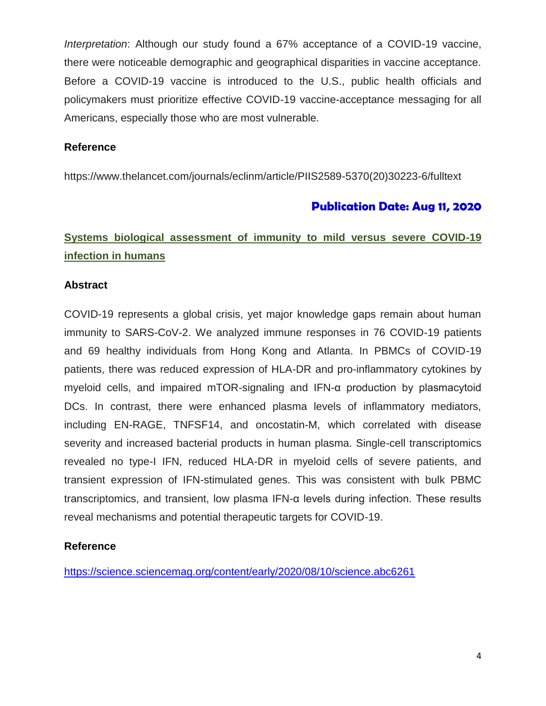*Interpretation*: Although our study found a 67% acceptance of a COVID-19 vaccine, there were noticeable demographic and geographical disparities in vaccine acceptance. Before a COVID-19 vaccine is introduced to the U.S., public health officials and policymakers must prioritize effective COVID-19 vaccine-acceptance messaging for all Americans, especially those who are most vulnerable.

#### **Reference**

https://www.thelancet.com/journals/eclinm/article/PIIS2589-5370(20)30223-6/fulltext

## **Publication Date: Aug 11, 2020**

# **Systems biological assessment of immunity to mild versus severe COVID-19 infection in humans**

### **Abstract**

COVID-19 represents a global crisis, yet major knowledge gaps remain about human immunity to SARS-CoV-2. We analyzed immune responses in 76 COVID-19 patients and 69 healthy individuals from Hong Kong and Atlanta. In PBMCs of COVID-19 patients, there was reduced expression of HLA-DR and pro-inflammatory cytokines by myeloid cells, and impaired mTOR-signaling and IFN-α production by plasmacytoid DCs. In contrast, there were enhanced plasma levels of inflammatory mediators, including EN-RAGE, TNFSF14, and oncostatin-M, which correlated with disease severity and increased bacterial products in human plasma. Single-cell transcriptomics revealed no type-I IFN, reduced HLA-DR in myeloid cells of severe patients, and transient expression of IFN-stimulated genes. This was consistent with bulk PBMC transcriptomics, and transient, low plasma IFN-α levels during infection. These results reveal mechanisms and potential therapeutic targets for COVID-19.

#### **Reference**

<https://science.sciencemag.org/content/early/2020/08/10/science.abc6261>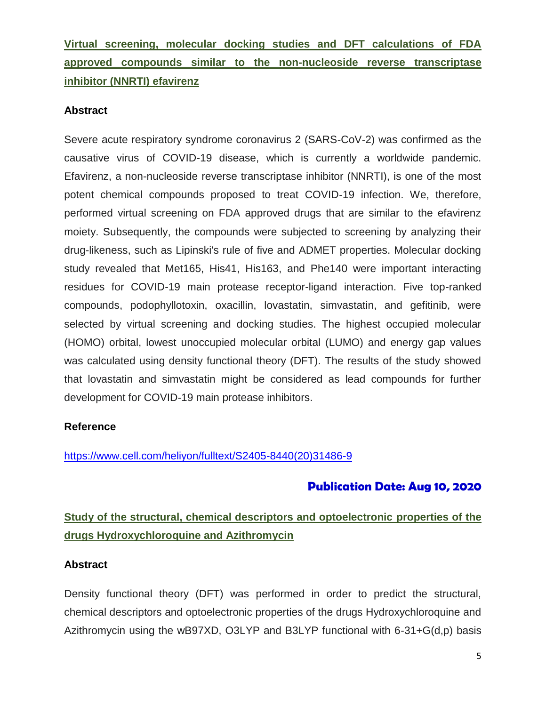# **Virtual screening, molecular docking studies and DFT calculations of FDA approved compounds similar to the non-nucleoside reverse transcriptase inhibitor (NNRTI) efavirenz**

#### **Abstract**

Severe acute respiratory syndrome coronavirus 2 (SARS-CoV-2) was confirmed as the causative virus of COVID-19 disease, which is currently a worldwide pandemic. Efavirenz, a non-nucleoside reverse transcriptase inhibitor (NNRTI), is one of the most potent chemical compounds proposed to treat COVID-19 infection. We, therefore, performed virtual screening on FDA approved drugs that are similar to the efavirenz moiety. Subsequently, the compounds were subjected to screening by analyzing their drug-likeness, such as Lipinski's rule of five and ADMET properties. Molecular docking study revealed that Met165, His41, His163, and Phe140 were important interacting residues for COVID-19 main protease receptor-ligand interaction. Five top-ranked compounds, podophyllotoxin, oxacillin, lovastatin, simvastatin, and gefitinib, were selected by virtual screening and docking studies. The highest occupied molecular (HOMO) orbital, lowest unoccupied molecular orbital (LUMO) and energy gap values was calculated using density functional theory (DFT). The results of the study showed that lovastatin and simvastatin might be considered as lead compounds for further development for COVID-19 main protease inhibitors.

#### **Reference**

[https://www.cell.com/heliyon/fulltext/S2405-8440\(20\)31486-9](https://www.cell.com/heliyon/fulltext/S2405-8440(20)31486-9)

## **Publication Date: Aug 10, 2020**

# **Study of the structural, chemical descriptors and optoelectronic properties of the drugs Hydroxychloroquine and Azithromycin**

## **Abstract**

Density functional theory (DFT) was performed in order to predict the structural, chemical descriptors and optoelectronic properties of the drugs Hydroxychloroquine and Azithromycin using the wB97XD, O3LYP and B3LYP functional with 6-31+G(d,p) basis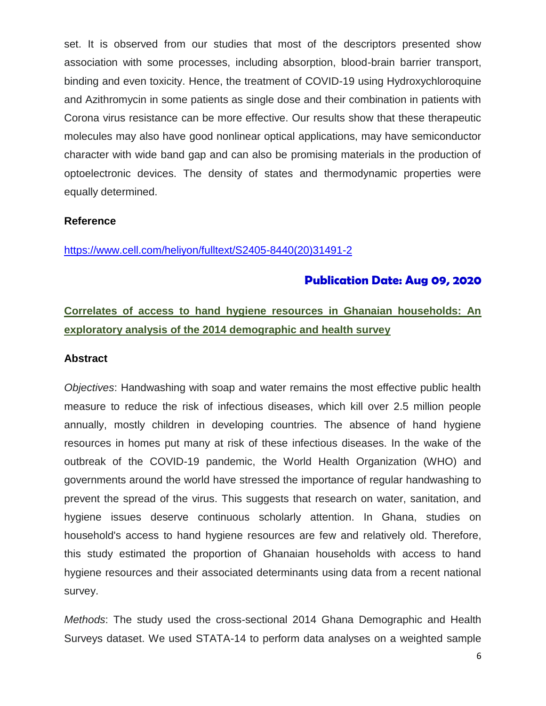set. It is observed from our studies that most of the descriptors presented show association with some processes, including absorption, blood-brain barrier transport, binding and even toxicity. Hence, the treatment of COVID-19 using Hydroxychloroquine and Azithromycin in some patients as single dose and their combination in patients with Corona virus resistance can be more effective. Our results show that these therapeutic molecules may also have good nonlinear optical applications, may have semiconductor character with wide band gap and can also be promising materials in the production of optoelectronic devices. The density of states and thermodynamic properties were equally determined.

#### **Reference**

[https://www.cell.com/heliyon/fulltext/S2405-8440\(20\)31491-2](https://www.cell.com/heliyon/fulltext/S2405-8440(20)31491-2)

### **Publication Date: Aug 09, 2020**

## **Correlates of access to hand hygiene resources in Ghanaian households: An exploratory analysis of the 2014 demographic and health survey**

#### **Abstract**

*Objectives*: Handwashing with soap and water remains the most effective public health measure to reduce the risk of infectious diseases, which kill over 2.5 million people annually, mostly children in developing countries. The absence of hand hygiene resources in homes put many at risk of these infectious diseases. In the wake of the outbreak of the COVID-19 pandemic, the World Health Organization (WHO) and governments around the world have stressed the importance of regular handwashing to prevent the spread of the virus. This suggests that research on water, sanitation, and hygiene issues deserve continuous scholarly attention. In Ghana, studies on household's access to hand hygiene resources are few and relatively old. Therefore, this study estimated the proportion of Ghanaian households with access to hand hygiene resources and their associated determinants using data from a recent national survey.

*Methods*: The study used the cross-sectional 2014 Ghana Demographic and Health Surveys dataset. We used STATA-14 to perform data analyses on a weighted sample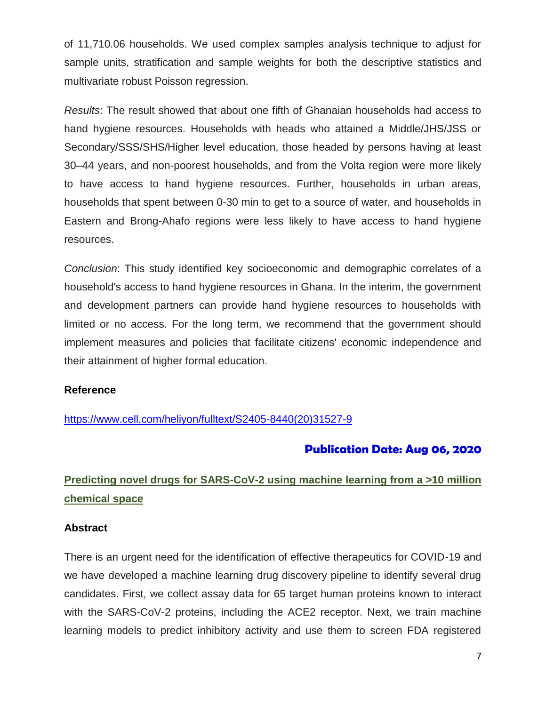of 11,710.06 households. We used complex samples analysis technique to adjust for sample units, stratification and sample weights for both the descriptive statistics and multivariate robust Poisson regression.

*Results*: The result showed that about one fifth of Ghanaian households had access to hand hygiene resources. Households with heads who attained a Middle/JHS/JSS or Secondary/SSS/SHS/Higher level education, those headed by persons having at least 30–44 years, and non-poorest households, and from the Volta region were more likely to have access to hand hygiene resources. Further, households in urban areas, households that spent between 0-30 min to get to a source of water, and households in Eastern and Brong-Ahafo regions were less likely to have access to hand hygiene resources.

*Conclusion*: This study identified key socioeconomic and demographic correlates of a household's access to hand hygiene resources in Ghana. In the interim, the government and development partners can provide hand hygiene resources to households with limited or no access. For the long term, we recommend that the government should implement measures and policies that facilitate citizens' economic independence and their attainment of higher formal education.

#### **Reference**

[https://www.cell.com/heliyon/fulltext/S2405-8440\(20\)31527-9](https://www.cell.com/heliyon/fulltext/S2405-8440(20)31527-9)

## **Publication Date: Aug 06, 2020**

# **Predicting novel drugs for SARS-CoV-2 using machine learning from a >10 million chemical space**

#### **Abstract**

There is an urgent need for the identification of effective therapeutics for COVID-19 and we have developed a machine learning drug discovery pipeline to identify several drug candidates. First, we collect assay data for 65 target human proteins known to interact with the SARS-CoV-2 proteins, including the ACE2 receptor. Next, we train machine learning models to predict inhibitory activity and use them to screen FDA registered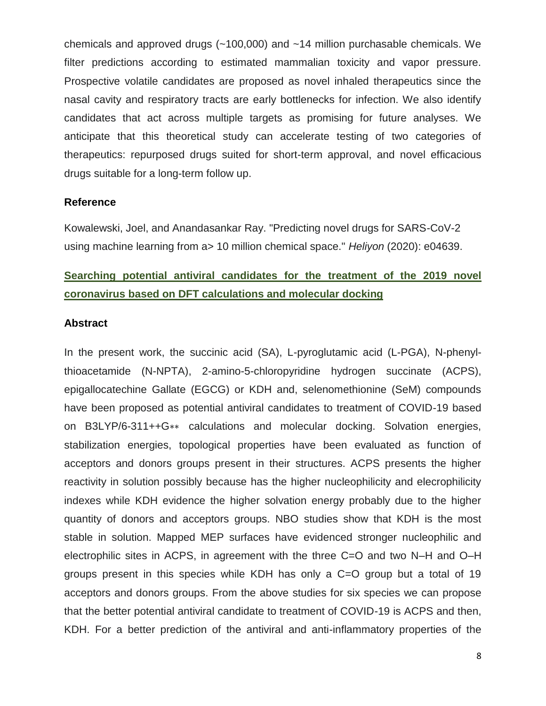chemicals and approved drugs (~100,000) and ~14 million purchasable chemicals. We filter predictions according to estimated mammalian toxicity and vapor pressure. Prospective volatile candidates are proposed as novel inhaled therapeutics since the nasal cavity and respiratory tracts are early bottlenecks for infection. We also identify candidates that act across multiple targets as promising for future analyses. We anticipate that this theoretical study can accelerate testing of two categories of therapeutics: repurposed drugs suited for short-term approval, and novel efficacious drugs suitable for a long-term follow up.

#### **Reference**

Kowalewski, Joel, and Anandasankar Ray. "Predicting novel drugs for SARS-CoV-2 using machine learning from a> 10 million chemical space." *Heliyon* (2020): e04639.

## **Searching potential antiviral candidates for the treatment of the 2019 novel coronavirus based on DFT calculations and molecular docking**

#### **Abstract**

In the present work, the succinic acid (SA), L-pyroglutamic acid (L-PGA), N-phenylthioacetamide (N-NPTA), 2-amino-5-chloropyridine hydrogen succinate (ACPS), epigallocatechine Gallate (EGCG) or KDH and, selenomethionine (SeM) compounds have been proposed as potential antiviral candidates to treatment of COVID-19 based on B3LYP/6-311++G∗∗ calculations and molecular docking. Solvation energies, stabilization energies, topological properties have been evaluated as function of acceptors and donors groups present in their structures. ACPS presents the higher reactivity in solution possibly because has the higher nucleophilicity and elecrophilicity indexes while KDH evidence the higher solvation energy probably due to the higher quantity of donors and acceptors groups. NBO studies show that KDH is the most stable in solution. Mapped MEP surfaces have evidenced stronger nucleophilic and electrophilic sites in ACPS, in agreement with the three C=O and two N–H and O–H groups present in this species while KDH has only a C=O group but a total of 19 acceptors and donors groups. From the above studies for six species we can propose that the better potential antiviral candidate to treatment of COVID-19 is ACPS and then, KDH. For a better prediction of the antiviral and anti-inflammatory properties of the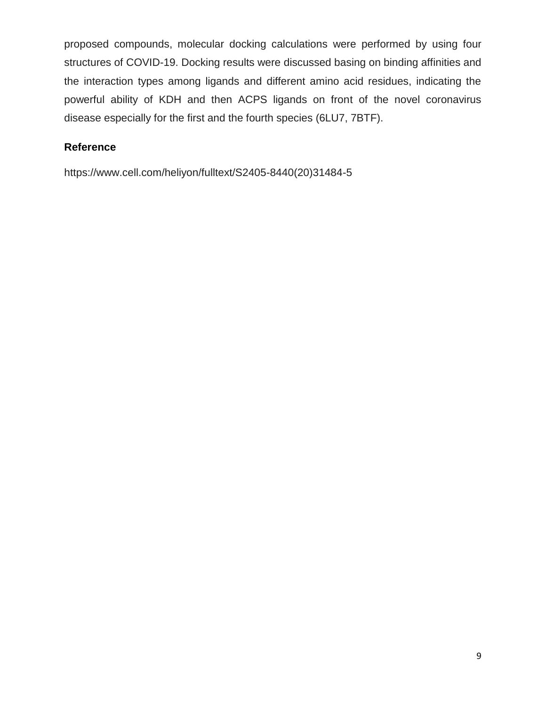proposed compounds, molecular docking calculations were performed by using four structures of COVID-19. Docking results were discussed basing on binding affinities and the interaction types among ligands and different amino acid residues, indicating the powerful ability of KDH and then ACPS ligands on front of the novel coronavirus disease especially for the first and the fourth species (6LU7, 7BTF).

### **Reference**

https://www.cell.com/heliyon/fulltext/S2405-8440(20)31484-5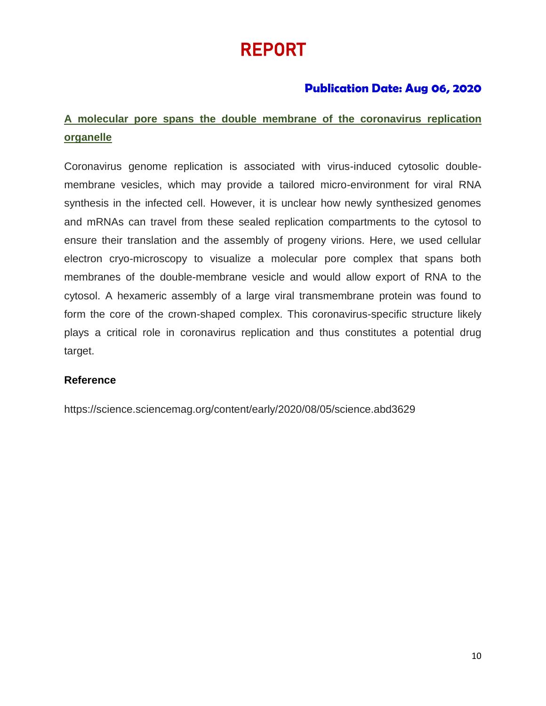# REPORT

## **Publication Date: Aug 06, 2020**

# **A molecular pore spans the double membrane of the coronavirus replication organelle**

Coronavirus genome replication is associated with virus-induced cytosolic doublemembrane vesicles, which may provide a tailored micro-environment for viral RNA synthesis in the infected cell. However, it is unclear how newly synthesized genomes and mRNAs can travel from these sealed replication compartments to the cytosol to ensure their translation and the assembly of progeny virions. Here, we used cellular electron cryo-microscopy to visualize a molecular pore complex that spans both membranes of the double-membrane vesicle and would allow export of RNA to the cytosol. A hexameric assembly of a large viral transmembrane protein was found to form the core of the crown-shaped complex. This coronavirus-specific structure likely plays a critical role in coronavirus replication and thus constitutes a potential drug target.

## **Reference**

https://science.sciencemag.org/content/early/2020/08/05/science.abd3629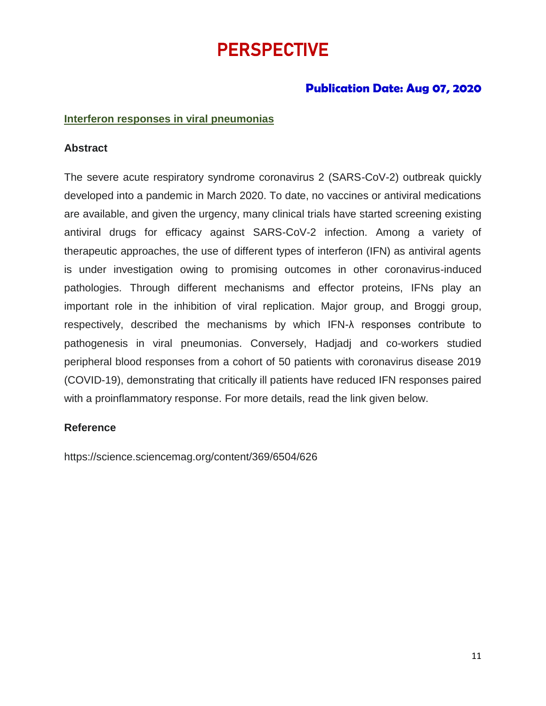# **PERSPECTIVE**

## **Publication Date: Aug 07, 2020**

#### **Interferon responses in viral pneumonias**

#### **Abstract**

The severe acute respiratory syndrome coronavirus 2 (SARS-CoV-2) outbreak quickly developed into a pandemic in March 2020. To date, no vaccines or antiviral medications are available, and given the urgency, many clinical trials have started screening existing antiviral drugs for efficacy against SARS-CoV-2 infection. Among a variety of therapeutic approaches, the use of different types of interferon (IFN) as antiviral agents is under investigation owing to promising outcomes in other coronavirus-induced pathologies. Through different mechanisms and effector proteins, IFNs play an important role in the inhibition of viral replication. Major group, and Broggi group, respectively, described the mechanisms by which IFN-λ responses contribute to pathogenesis in viral pneumonias. Conversely, Hadjadj and co-workers studied peripheral blood responses from a cohort of 50 patients with coronavirus disease 2019 (COVID-19), demonstrating that critically ill patients have reduced IFN responses paired with a proinflammatory response. For more details, read the link given below.

#### **Reference**

https://science.sciencemag.org/content/369/6504/626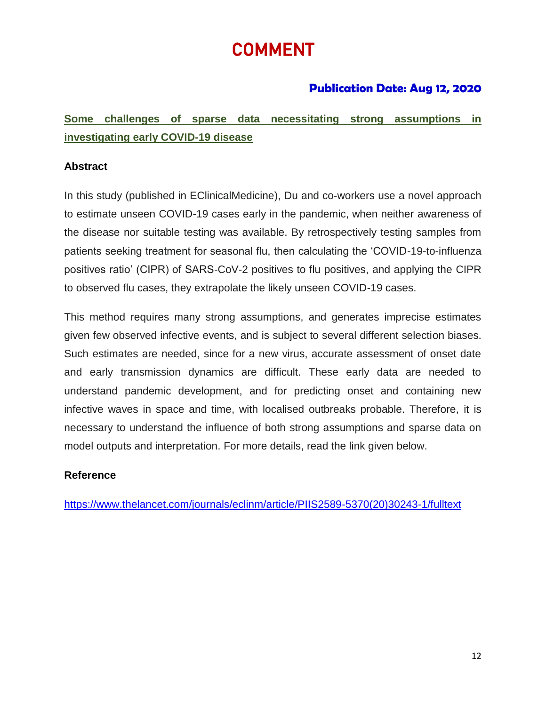# COMMENT

## **Publication Date: Aug 12, 2020**

**Some challenges of sparse data necessitating strong assumptions in investigating early COVID-19 disease**

### **Abstract**

In this study (published in EClinicalMedicine), Du and co-workers use a novel approach to estimate unseen COVID-19 cases early in the pandemic, when neither awareness of the disease nor suitable testing was available. By retrospectively testing samples from patients seeking treatment for seasonal flu, then calculating the 'COVID-19-to-influenza positives ratio' (CIPR) of SARS-CoV-2 positives to flu positives, and applying the CIPR to observed flu cases, they extrapolate the likely unseen COVID-19 cases.

This method requires many strong assumptions, and generates imprecise estimates given few observed infective events, and is subject to several different selection biases. Such estimates are needed, since for a new virus, accurate assessment of onset date and early transmission dynamics are difficult. These early data are needed to understand pandemic development, and for predicting onset and containing new infective waves in space and time, with localised outbreaks probable. Therefore, it is necessary to understand the influence of both strong assumptions and sparse data on model outputs and interpretation. For more details, read the link given below.

#### **Reference**

[https://www.thelancet.com/journals/eclinm/article/PIIS2589-5370\(20\)30243-1/fulltext](https://www.thelancet.com/journals/eclinm/article/PIIS2589-5370(20)30243-1/fulltext)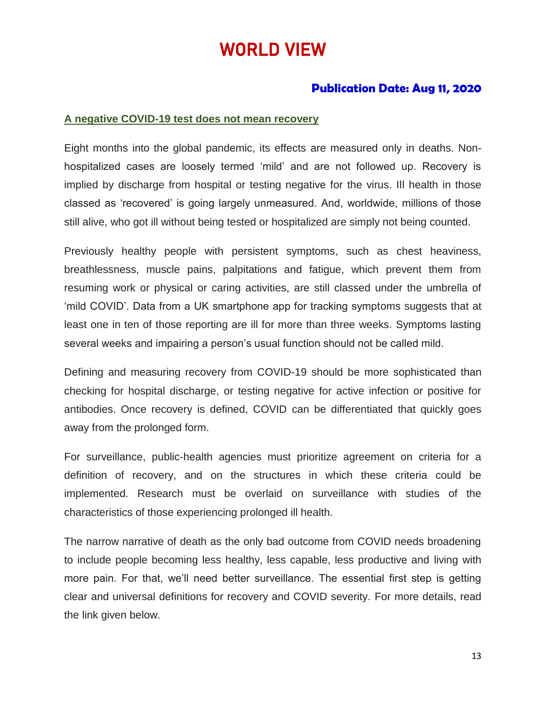# WORLD VIEW

## **Publication Date: Aug 11, 2020**

#### **A negative COVID-19 test does not mean recovery**

Eight months into the global pandemic, its effects are measured only in deaths. Nonhospitalized cases are loosely termed 'mild' and are not followed up. Recovery is implied by discharge from hospital or testing negative for the virus. Ill health in those classed as 'recovered' is going largely unmeasured. And, worldwide, millions of those still alive, who got ill without being tested or hospitalized are simply not being counted.

Previously healthy people with persistent symptoms, such as chest heaviness, breathlessness, muscle pains, palpitations and fatigue, which prevent them from resuming work or physical or caring activities, are still classed under the umbrella of 'mild COVID'. Data from a UK smartphone app for tracking symptoms suggests that at least one in ten of those reporting are ill for more than three weeks. Symptoms lasting several weeks and impairing a person's usual function should not be called mild.

Defining and measuring recovery from COVID-19 should be more sophisticated than checking for hospital discharge, or testing negative for active infection or positive for antibodies. Once recovery is defined, COVID can be differentiated that quickly goes away from the prolonged form.

For surveillance, public-health agencies must prioritize agreement on criteria for a definition of recovery, and on the structures in which these criteria could be implemented. Research must be overlaid on surveillance with studies of the characteristics of those experiencing prolonged ill health.

The narrow narrative of death as the only bad outcome from COVID needs broadening to include people becoming less healthy, less capable, less productive and living with more pain. For that, we'll need better surveillance. The essential first step is getting clear and universal definitions for recovery and COVID severity. For more details, read the link given below.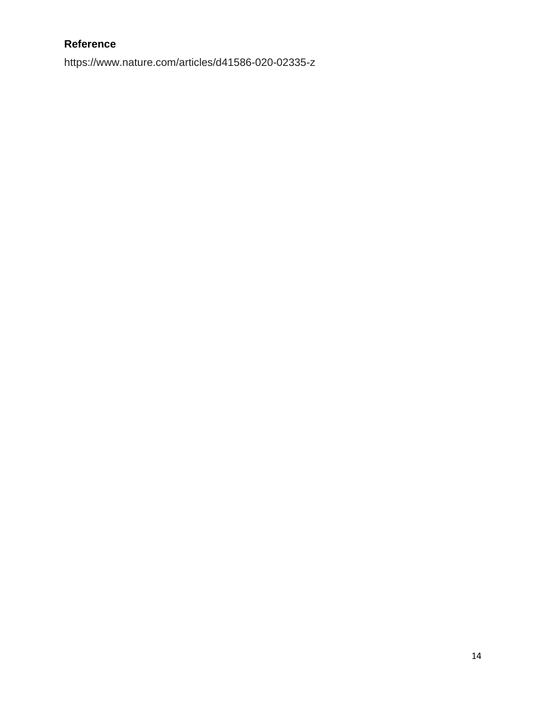## **Reference**

https://www.nature.com/articles/d41586-020-02335-z